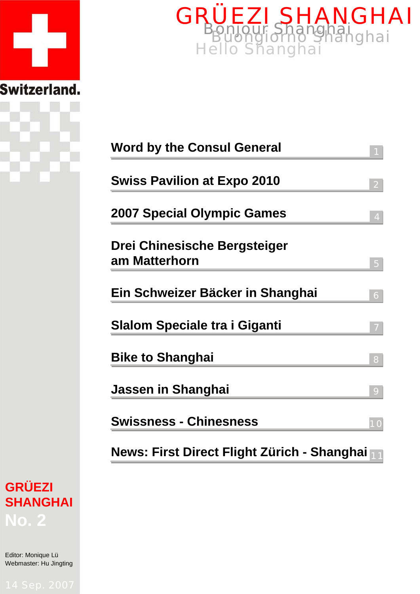



| <b>Word by the Consul General</b>             |
|-----------------------------------------------|
| <b>Swiss Pavilion at Expo 2010</b>            |
| <b>2007 Special Olympic Games</b><br>4        |
| Drei Chinesische Bergsteiger<br>am Matterhorn |
| Ein Schweizer Bäcker in Shanghai<br>6         |
| <b>Slalom Speciale tra i Giganti</b>          |
| <b>Bike to Shanghai</b><br>8                  |
| Jassen in Shanghai<br>9                       |
| <b>Swissness - Chinesness</b><br>10           |
| News: First Direct Flight Zürich - Shanghai   |

# **GRÜEZI SHANGHAI No. 2**

Editor: Monique Lü Webmaster: Hu Jingting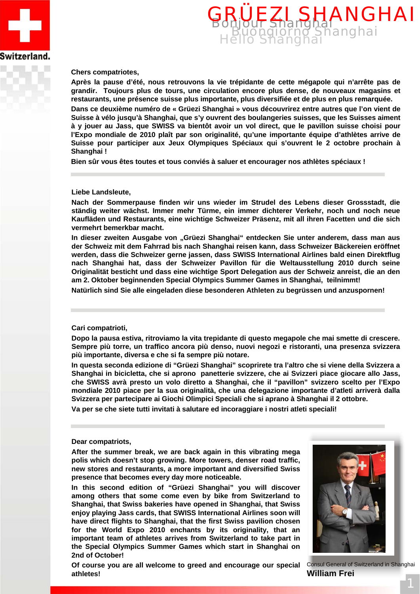



#### **Chers compatriotes,**

**Après la pause d'été, nous retrouvons la vie trépidante de cette mégapole qui n'arrête pas de grandir. Toujours plus de tours, une circulation encore plus dense, de nouveaux magasins et restaurants, une présence suisse plus importante, plus diversifiée et de plus en plus remarquée.**

**Dans ce deuxième numéro de « Grüezi Shanghai » vous découvrirez entre autres que l'on vient de Suisse à vélo jusqu'à Shanghai, que s'y ouvrent des boulangeries suisses, que les Suisses aiment à y jouer au Jass, que SWISS va bientôt avoir un vol direct, que le pavillon suisse choisi pour l'Expo mondiale de 2010 plaît par son originalité, qu'une importante équipe d'athlètes arrive de Suisse pour participer aux Jeux Olympiques Spéciaux qui s'ouvrent le 2 octobre prochain à Shanghai !** 

**Bien sûr vous êtes toutes et tous conviés à saluer et encourager nos athlètes spéciaux !**

#### **Liebe Landsleute,**

**Nach der Sommerpause finden wir uns wieder im Strudel des Lebens dieser Grossstadt, die ständig weiter wächst. Immer mehr Türme, ein immer dichterer Verkehr, noch und noch neue Kaufläden und Restaurants, eine wichtige Schweizer Präsenz, mit all ihren Facetten und die sich vermehrt bemerkbar macht.** 

In dieser zweiten Ausgabe von "Grüezi Shanghai" entdecken Sie unter anderem, dass man aus **der Schweiz mit dem Fahrrad bis nach Shanghai reisen kann, dass Schweizer Bäckereien eröffnet werden, dass die Schweizer gerne jassen, dass SWISS International Airlines bald einen Direktflug nach Shanghai hat, dass der Schweizer Pavillon für die Weltausstellung 2010 durch seine Originalität besticht und dass eine wichtige Sport Delegation aus der Schweiz anreist, die an den am 2. Oktober beginnenden Special Olympics Summer Games in Shanghai, teilnimmt!** 

**Natürlich sind Sie alle eingeladen diese besonderen Athleten zu begrüssen und anzuspornen!**

#### **Cari compatrioti,**

**Dopo la pausa estiva, ritroviamo la vita trepidante di questo megapole che mai smette di crescere. Sempre più torre, un traffico ancora più denso, nuovi negozi e ristoranti, una presenza svizzera più importante, diversa e che si fa sempre più notare.** 

**In questa seconda edizione di "Grüezi Shanghai" scoprirete tra l'altro che si viene della Svizzera a Shanghai in bicicletta, che si aprono panetterie svizzere, che ai Svizzeri piace giocare allo Jass, che SWISS avrà presto un volo diretto a Shanghai, che il "pavillon" svizzero scelto per l'Expo mondiale 2010 piace per la sua originalità, che una delegazione importante d'atleti arriverà dalla Svizzera per partecipare ai Giochi Olimpici Speciali che si aprano à Shanghai il 2 ottobre.** 

**Va per se che siete tutti invitati à salutare ed incoraggiare i nostri atleti speciali!**

#### **Dear compatriots,**

**After the summer break, we are back again in this vibrating mega polis which doesn't stop growing. More towers, denser road traffic, new stores and restaurants, a more important and diversified Swiss presence that becomes every day more noticeable.**

**In this second edition of "Grüezi Shanghai" you will discover among others that some come even by bike from Switzerland to Shanghai, that Swiss bakeries have opened in Shanghai, that Swiss enjoy playing Jass cards, that SWISS International Airlines soon will have direct flights to Shanghai, that the first Swiss pavilion chosen for the World Expo 2010 enchants by its originality, that an important team of athletes arrives from Switzerland to take part in the Special Olympics Summer Games which start in Shanghai on 2nd of October!** 



Consul General of Switzerland in Shanghai **William Frei**

**Of course you are all welcome to greed and encourage our special athletes!**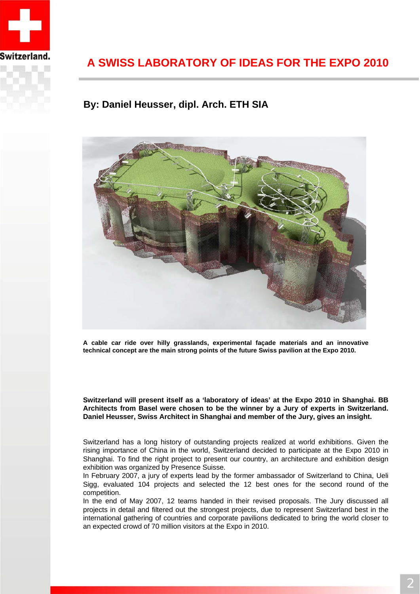

## **A SWISS LABORATORY OF IDEAS FOR THE EXPO 2010**

### **By: Daniel Heusser, dipl. Arch. ETH SIA**



**A cable car ride over hilly grasslands, experimental façade materials and an innovative technical concept are the main strong points of the future Swiss pavilion at the Expo 2010.**

**Switzerland will present itself as a 'laboratory of ideas' at the Expo 2010 in Shanghai. BB Architects from Basel were chosen to be the winner by a Jury of experts in Switzerland. Daniel Heusser, Swiss Architect in Shanghai and member of the Jury, gives an insight.**

Switzerland has a long history of outstanding projects realized at world exhibitions. Given the rising importance of China in the world, Switzerland decided to participate at the Expo 2010 in Shanghai. To find the right project to present our country, an architecture and exhibition design exhibition was organized by Presence Suisse.

In February 2007, a jury of experts lead by the former ambassador of Switzerland to China, Ueli Sigg, evaluated 104 projects and selected the 12 best ones for the second round of the competition.

In the end of May 2007, 12 teams handed in their revised proposals. The Jury discussed all projects in detail and filtered out the strongest projects, due to represent Switzerland best in the international gathering of countries and corporate pavilions dedicated to bring the world closer to an expected crowd of 70 million visitors at the Expo in 2010.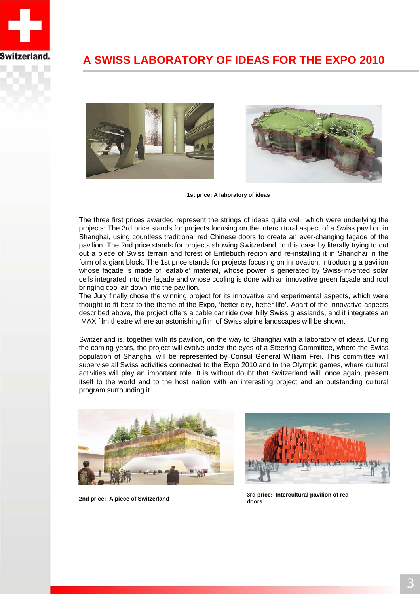

### **A SWISS LABORATORY OF IDEAS FOR THE EXPO 2010**



**1st price: A laboratory of ideas**

The three first prices awarded represent the strings of ideas quite well, which were underlying the projects: The 3rd price stands for projects focusing on the intercultural aspect of a Swiss pavilion in Shanghai, using countless traditional red Chinese doors to create an ever-changing façade of the pavilion. The 2nd price stands for projects showing Switzerland, in this case by literally trying to cut out a piece of Swiss terrain and forest of Entlebuch region and re-installing it in Shanghai in the form of a giant block. The 1st price stands for projects focusing on innovation, introducing a pavilion whose façade is made of 'eatable' material, whose power is generated by Swiss-invented solar cells integrated into the façade and whose cooling is done with an innovative green façade and roof bringing cool air down into the pavilion.

The Jury finally chose the winning project for its innovative and experimental aspects, which were thought to fit best to the theme of the Expo, 'better city, better life'. Apart of the innovative aspects described above, the project offers a cable car ride over hilly Swiss grasslands, and it integrates an IMAX film theatre where an astonishing film of Swiss alpine landscapes will be shown.

Switzerland is, together with its pavilion, on the way to Shanghai with a laboratory of ideas. During the coming years, the project will evolve under the eyes of a Steering Committee, where the Swiss population of Shanghai will be represented by Consul General William Frei. This committee will supervise all Swiss activities connected to the Expo 2010 and to the Olympic games, where cultural activities will play an important role. It is without doubt that Switzerland will, once again, present itself to the world and to the host nation with an interesting project and an outstanding cultural program surrounding it.





**2nd price: A piece of Switzerland 3rd price: Intercultural pavilion of red doors**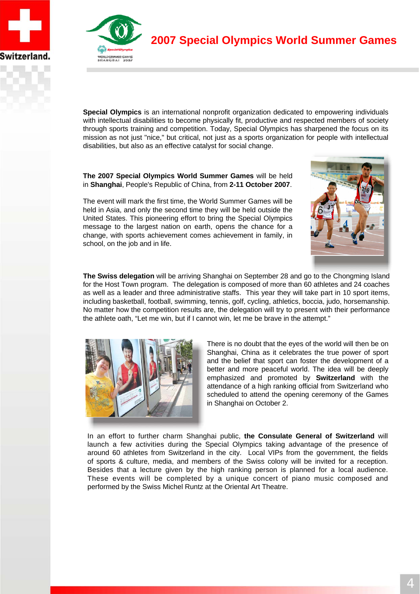



**2007 Special Olympics World Summer Games**

**Special Olympics** is an international nonprofit organization dedicated to empowering individuals with intellectual disabilities to become physically fit, productive and respected members of society through sports training and competition. Today, Special Olympics has sharpened the focus on its mission as not just "nice," but critical, not just as a sports organization for people with intellectual disabilities, but also as an effective catalyst for social change.

**The 2007 Special Olympics World Summer Games** will be held in **Shanghai**, People's Republic of China, from **2-11 October 2007**.

The event will mark the first time, the World Summer Games will be held in Asia, and only the second time they will be held outside the United States. This pioneering effort to bring the Special Olympics message to the largest nation on earth, opens the chance for a change, with sports achievement comes achievement in family, in school, on the job and in life.



**The Swiss delegation** will be arriving Shanghai on September 28 and go to the Chongming Island for the Host Town program. The delegation is composed of more than 60 athletes and 24 coaches as well as a leader and three administrative staffs. This year they will take part in 10 sport items, including basketball, football, swimming, tennis, golf, cycling, athletics, boccia, judo, horsemanship. No matter how the competition results are, the delegation will try to present with their performance the athlete oath, "Let me win, but if I cannot win, let me be brave in the attempt."



There is no doubt that the eyes of the world will then be on Shanghai, China as it celebrates the true power of sport and the belief that sport can foster the development of a better and more peaceful world. The idea will be deeply emphasized and promoted by **Switzerland** with the attendance of a high ranking official from Switzerland who scheduled to attend the opening ceremony of the Games in Shanghai on October 2.

In an effort to further charm Shanghai public, **the Consulate General of Switzerland** will launch a few activities during the Special Olympics taking advantage of the presence of around 60 athletes from Switzerland in the city. Local VIPs from the government, the fields of sports & culture, media, and members of the Swiss colony will be invited for a reception. Besides that a lecture given by the high ranking person is planned for a local audience. These events will be completed by a unique concert of piano music composed and performed by the Swiss Michel Runtz at the Oriental Art Theatre.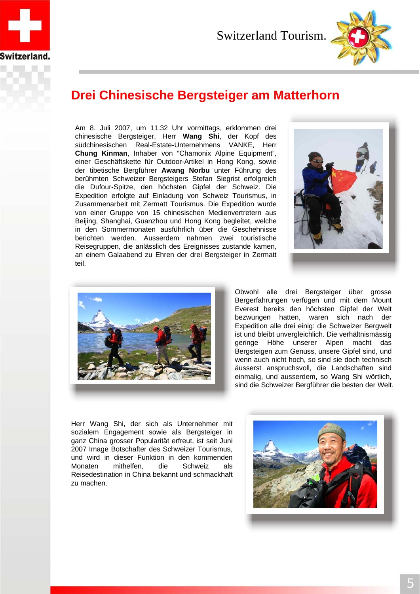

Switzerland Tourism.



## **Drei Chinesische Bergsteiger am Matterhorn**

Am 8. Juli 2007, um 11.32 Uhr vormittags, erklommen drei chinesische Bergsteiger, Herr **Wang Shi**, der Kopf des südchinesischen Real-Estate-Unternehmens VANKE, Herr **Chung Kinman**, Inhaber von "Chamonix Alpine Equipment", einer Geschäftskette für Outdoor-Artikel in Hong Kong, sowie der tibetische Bergführer **Awang Norbu** unter Führung des berühmten Schweizer Bergsteigers Stefan Siegrist erfolgreich die Dufour-Spitze, den höchsten Gipfel der Schweiz. Die Expedition erfolgte auf Einladung von Schweiz Tourismus, in Zusammenarbeit mit Zermatt Tourismus. Die Expedition wurde von einer Gruppe von 15 chinesischen Medienvertretern aus Beijing, Shanghai, Guanzhou und Hong Kong begleitet, welche in den Sommermonaten ausführlich über die Geschehnisse berichten werden. Ausserdem nahmen zwei touristische Reisegruppen, die anlässlich des Ereignisses zustande kamen, an einem Galaabend zu Ehren der drei Bergsteiger in Zermatt teil.





Obwohl alle drei Bergsteiger über grosse Bergerfahrungen verfügen und mit dem Mount Everest bereits den höchsten Gipfel der Welt bezwungen hatten, waren sich nach der Expedition alle drei einig: die Schweizer Bergwelt ist und bleibt unvergleichlich. Die verhältnismässig geringe Höhe unserer Alpen macht das Bergsteigen zum Genuss, unsere Gipfel sind, und wenn auch nicht hoch, so sind sie doch technisch äusserst anspruchsvoll, die Landschaften sind einmalig, und ausserdem, so Wang Shi wörtlich, sind die Schweizer Bergführer die besten der Welt.

Herr Wang Shi, der sich als Unternehmer mit sozialem Engagement sowie als Bergsteiger in ganz China grosser Popularität erfreut, ist seit Juni 2007 Image Botschafter des Schweizer Tourismus, und wird in dieser Funktion in den kommenden Monaten mithelfen, die Schweiz als Reisedestination in China bekannt und schmackhaft zu machen.

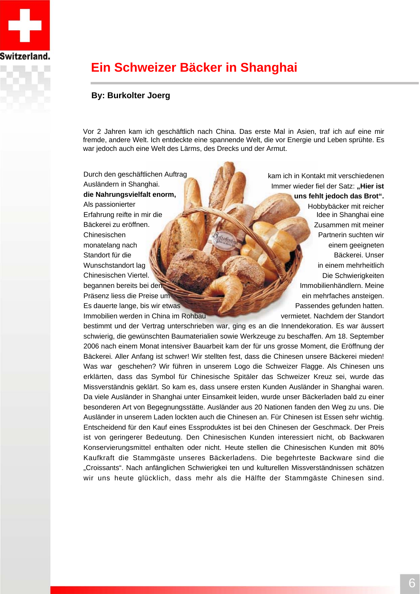

## **Ein Schweizer Bäcker in Shanghai**

### **By: Burkolter Joerg**

Vor 2 Jahren kam ich geschäftlich nach China. Das erste Mal in Asien, traf ich auf eine mir fremde, andere Welt. Ich entdeckte eine spannende Welt, die vor Energie und Leben sprühte. Es war jedoch auch eine Welt des Lärms, des Drecks und der Armut.

Durch den geschäftlichen Auftrag Ausländern in Shanghai. **die Nahrungsvielfalt enorm,**  Als passionierter Erfahrung reifte in mir die Bäckerei zu eröffnen. Chinesischen monatelang nach Standort für die Wunschstandort lag Chinesischen Viertel. begannen bereits bei den Präsenz liess die Preise um Es dauerte lange, bis wir etwas Immobilien werden in China im Rohbau kam ich in Kontakt mit verschiedenen Immer wieder fiel der Satz: "Hier ist **uns fehlt jedoch das Brot".** Hobbybäcker mit reicher Idee in Shanghai eine Zusammen mit meiner Partnerin suchten wir einem geeigneten Bäckerei. Unser in einem mehrheitlich Die Schwierigkeiten Immobilienhändlern. Meine ein mehrfaches ansteigen. Passendes gefunden hatten. vermietet. Nachdem der Standort

bestimmt und der Vertrag unterschrieben war, ging es an die Innendekoration. Es war äussert schwierig, die gewünschten Baumaterialien sowie Werkzeuge zu beschaffen. Am 18. September 2006 nach einem Monat intensiver Bauarbeit kam der für uns grosse Moment, die Eröffnung der Bäckerei. Aller Anfang ist schwer! Wir stellten fest, dass die Chinesen unsere Bäckerei mieden! Was war geschehen? Wir führen in unserem Logo die Schweizer Flagge. Als Chinesen uns erklärten, dass das Symbol für Chinesische Spitäler das Schweizer Kreuz sei, wurde das Missverständnis geklärt. So kam es, dass unsere ersten Kunden Ausländer in Shanghai waren. Da viele Ausländer in Shanghai unter Einsamkeit leiden, wurde unser Bäckerladen bald zu einer besonderen Art von Begegnungsstätte. Ausländer aus 20 Nationen fanden den Weg zu uns. Die Ausländer in unserem Laden lockten auch die Chinesen an. Für Chinesen ist Essen sehr wichtig. Entscheidend für den Kauf eines Essproduktes ist bei den Chinesen der Geschmack. Der Preis ist von geringerer Bedeutung. Den Chinesischen Kunden interessiert nicht, ob Backwaren Konservierungsmittel enthalten oder nicht. Heute stellen die Chinesischen Kunden mit 80% Kaufkraft die Stammgäste unseres Bäckerladens. Die begehrteste Backware sind die "Croissants". Nach anfänglichen Schwierigkei ten und kulturellen Missverständnissen schätzen wir uns heute glücklich, dass mehr als die Hälfte der Stammgäste Chinesen sind.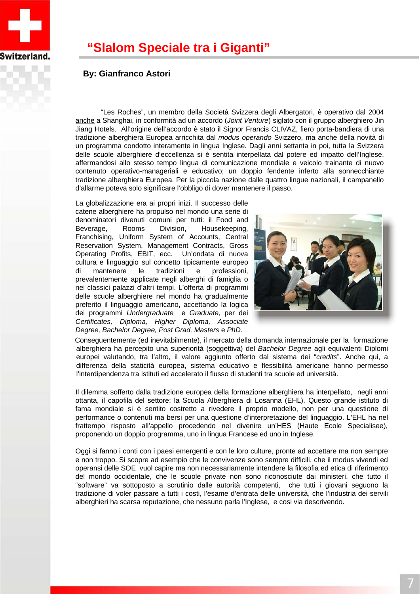

## **"Slalom Speciale tra i Giganti"**

### **By: Gianfranco Astori**

"Les Roches", un membro della Società Svizzera degli Albergatori, è operativo dal 2004 anche a Shanghai, in conformità ad un accordo (*Joint Venture*) siglato con il gruppo alberghiero Jin Jiang Hotels. All'origine dell'accordo è stato il Signor Francis CLIVAZ, fiero porta-bandiera di una tradizione alberghiera Europea arricchita dal *modus operando* Svizzero, ma anche della novità di un programma condotto interamente in lingua Inglese. Dagli anni settanta in poi, tutta la Svizzera delle scuole alberghiere d'eccellenza si è sentita interpellata dal potere ed impatto dell'Inglese, affermandosi allo stesso tempo lingua di comunicazione mondiale e veicolo trainante di nuovo contenuto operativo-manageriali e educativo; un doppio fendente inferto alla sonnecchiante tradizione alberghiera Europea. Per la piccola nazione dalle quattro lingue nazionali, il campanello d'allarme poteva solo significare l'obbligo di dover mantenere il passo.

La globalizzazione era ai propri inizi. Il successo delle catene alberghiere ha propulso nel mondo una serie di denominatori divenuti comuni per tutti: il Food and Beverage, Rooms Division, Housekeeping, Franchising, Uniform System of Accounts, Central Reservation System, Management Contracts, Gross Operating Profits, EBIT, ecc. Un'ondata di nuova cultura e linguaggio sul concetto tipicamente europeo di mantenere le tradizioni e professioni, prevalentemente applicate negli alberghi di famiglia o nei classici palazzi d'altri tempi. L'offerta di programmi delle scuole alberghiere nel mondo ha gradualmente preferito il linguaggio americano, accettando la logica dei programmi *Undergraduate* e *Graduate*, per dei *Certificates, Diploma, Higher Diploma, Associate Degree, Bachelor Degree, Post Grad, Masters* e *PhD.* 



Conseguentemente (ed inevitabilmente), il mercato della domanda internazionale per la formazione alberghiera ha percepito una superiorità (soggettiva) del *Bachelor Degree* agli equivalenti Diplomi europei valutando, tra l'altro, il valore aggiunto offerto dal sistema dei "*credits*". Anche qui, a differenza della staticità europea, sistema educativo e flessibilità americane hanno permesso l'interdipendenza tra istituti ed accelerato il flusso di studenti tra scuole ed università.

Il dilemma sofferto dalla tradizione europea della formazione alberghiera ha interpellato, negli anni ottanta, il capofila del settore: la Scuola Alberghiera di Losanna (EHL). Questo grande istituto di fama mondiale si è sentito costretto a rivedere il proprio modello, non per una questione di performance o contenuti ma bersi per una questione d'interpretazione del linguaggio. L'EHL ha nel frattempo risposto all'appello procedendo nel divenire un'HES (Haute Ecole Specialisee), proponendo un doppio programma, uno in lingua Francese ed uno in Inglese.

Oggi si fanno i conti con i paesi emergenti e con le loro culture, pronte ad accettare ma non sempre e non troppo. Si scopre ad esempio che le convivenze sono sempre difficili, che il modus vivendi ed operansi delle SOE vuol capire ma non necessariamente intendere la filosofia ed etica di riferimento del mondo occidentale, che le scuole private non sono riconosciute dai ministeri, che tutto il "software" va sottoposto a scrutinio dalle autorità competenti, che tutti i giovani seguono la tradizione di voler passare a tutti i costi, l'esame d'entrata delle università, che l'industria dei servili alberghieri ha scarsa reputazione, che nessuno parla l'Inglese, e cosi via descrivendo.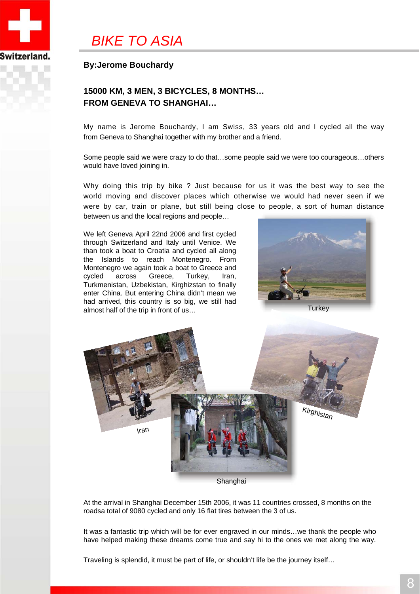

## *BIKE TO ASIA*

### **By:Jerome Bouchardy**

### **15000 KM, 3 MEN, 3 BICYCLES, 8 MONTHS… FROM GENEVA TO SHANGHAI…**

My name is Jerome Bouchardy, I am Swiss, 33 years old and I cycled all the way from Geneva to Shanghai together with my brother and a friend.

Some people said we were crazy to do that…some people said we were too courageous…others would have loved joining in.

Why doing this trip by bike ? Just because for us it was the best way to see the world moving and discover places which otherwise we would had never seen if we were by car, train or plane, but still being close to people, a sort of human distance between us and the local regions and people…

We left Geneva April 22nd 2006 and first cycled through Switzerland and Italy until Venice. We than took a boat to Croatia and cycled all along the Islands to reach Montenegro. From Montenegro we again took a boat to Greece and cycled across Greece, Turkey, Iran, Turkmenistan, Uzbekistan, Kirghizstan to finally enter China. But entering China didn't mean we had arrived, this country is so big, we still had almost half of the trip in front of us…





Shanghai

At the arrival in Shanghai December 15th 2006, it was 11 countries crossed, 8 months on the roadsa total of 9080 cycled and only 16 flat tires between the 3 of us.

It was a fantastic trip which will be for ever engraved in our minds…we thank the people who have helped making these dreams come true and say hi to the ones we met along the way.

Traveling is splendid, it must be part of life, or shouldn't life be the journey itself…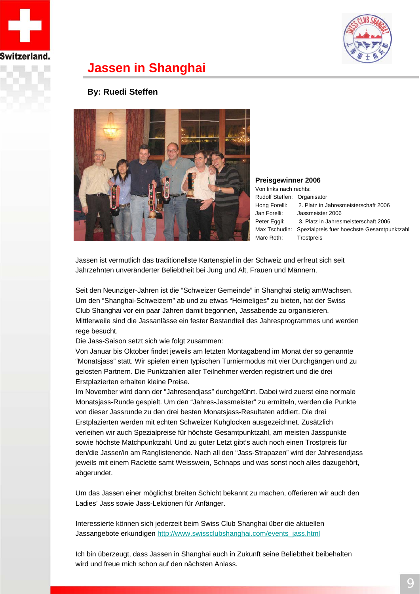



### **Jassen in Shanghai**

### **By: Ruedi Steffen**



**Preisgewinner 2006** Von links nach rechts:

Rudolf Steffen: Organisator Hong Forelli: 2. Platz in Jahresmeisterschaft 2006 Jan Forelli: Jassmeister 2006 Peter Eggli: 3. Platz in Jahresmeisterschaft 2006 Max Tschudin: Spezialpreis fuer hoechste Gesamtpunktzahl Marc Roth: Trostpreis

Jassen ist vermutlich das traditionellste Kartenspiel in der Schweiz und erfreut sich seit Jahrzehnten unveränderter Beliebtheit bei Jung und Alt, Frauen und Männern.

Seit den Neunziger-Jahren ist die "Schweizer Gemeinde" in Shanghai stetig amWachsen. Um den "Shanghai-Schweizern" ab und zu etwas "Heimeliges" zu bieten, hat der Swiss Club Shanghai vor ein paar Jahren damit begonnen, Jassabende zu organisieren. Mittlerweile sind die Jassanlässe ein fester Bestandteil des Jahresprogrammes und werden rege besucht.

Die Jass-Saison setzt sich wie folgt zusammen:

Von Januar bis Oktober findet jeweils am letzten Montagabend im Monat der so genannte "Monatsjass" statt. Wir spielen einen typischen Turniermodus mit vier Durchgängen und zu gelosten Partnern. Die Punktzahlen aller Teilnehmer werden registriert und die drei Erstplazierten erhalten kleine Preise.

Im November wird dann der "Jahresendjass" durchgeführt. Dabei wird zuerst eine normale Monatsjass-Runde gespielt. Um den "Jahres-Jassmeister" zu ermitteln, werden die Punkte von dieser Jassrunde zu den drei besten Monatsjass-Resultaten addiert. Die drei Erstplazierten werden mit echten Schweizer Kuhglocken ausgezeichnet. Zusätzlich verleihen wir auch Spezialpreise für höchste Gesamtpunktzahl, am meisten Jasspunkte sowie höchste Matchpunktzahl. Und zu guter Letzt gibt's auch noch einen Trostpreis für den/die Jasser/in am Ranglistenende. Nach all den "Jass-Strapazen" wird der Jahresendjass jeweils mit einem Raclette samt Weisswein, Schnaps und was sonst noch alles dazugehört, abgerundet.

Um das Jassen einer möglichst breiten Schicht bekannt zu machen, offerieren wir auch den Ladies' Jass sowie Jass-Lektionen für Anfänger.

Interessierte können sich jederzeit beim Swiss Club Shanghai über die aktuellen Jassangebote erkundigen http://www.swissclubshanghai.com/events\_jass.html

Ich bin überzeugt, dass Jassen in Shanghai auch in Zukunft seine Beliebtheit beibehalten wird und freue mich schon auf den nächsten Anlass.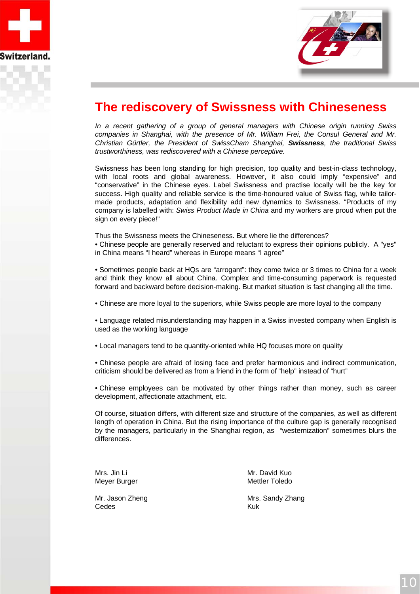



### **The rediscovery of Swissness with Chineseness**

*In a recent gathering of a group of general managers with Chinese origin running Swiss companies in Shanghai, with the presence of Mr. William Frei, the Consul General and Mr. Christian Gürtler, the President of SwissCham Shanghai, Swissness, the traditional Swiss trustworthiness, was rediscovered with a Chinese perceptive.* 

Swissness has been long standing for high precision, top quality and best-in-class technology, with local roots and global awareness. However, it also could imply "expensive" and "conservative" in the Chinese eyes. Label Swissness and practise locally will be the key for success. High quality and reliable service is the time-honoured value of Swiss flag, while tailormade products, adaptation and flexibility add new dynamics to Swissness. "Products of my company is labelled with: *Swiss Product Made in China* and my workers are proud when put the sign on every piece!"

Thus the Swissness meets the Chineseness. But where lie the differences? • Chinese people are generally reserved and reluctant to express their opinions publicly. A "yes" in China means "I heard" whereas in Europe means "I agree"

• Sometimes people back at HQs are "arrogant": they come twice or 3 times to China for a week and think they know all about China. Complex and time-consuming paperwork is requested forward and backward before decision-making. But market situation is fast changing all the time.

• Chinese are more loyal to the superiors, while Swiss people are more loyal to the company

• Language related misunderstanding may happen in a Swiss invested company when English is used as the working language

• Local managers tend to be quantity-oriented while HQ focuses more on quality

• Chinese people are afraid of losing face and prefer harmonious and indirect communication, criticism should be delivered as from a friend in the form of "help" instead of "hurt"

• Chinese employees can be motivated by other things rather than money, such as career development, affectionate attachment, etc.

Of course, situation differs, with different size and structure of the companies, as well as different length of operation in China. But the rising importance of the culture gap is generally recognised by the managers, particularly in the Shanghai region, as "westernization" sometimes blurs the differences.

Cedes Kuk

Mrs. Jin Li Mrs. 1997 - Mr. David Kuo Meyer Burger Mettler Toledo

Mr. Jason Zheng Mrs. Sandy Zhang